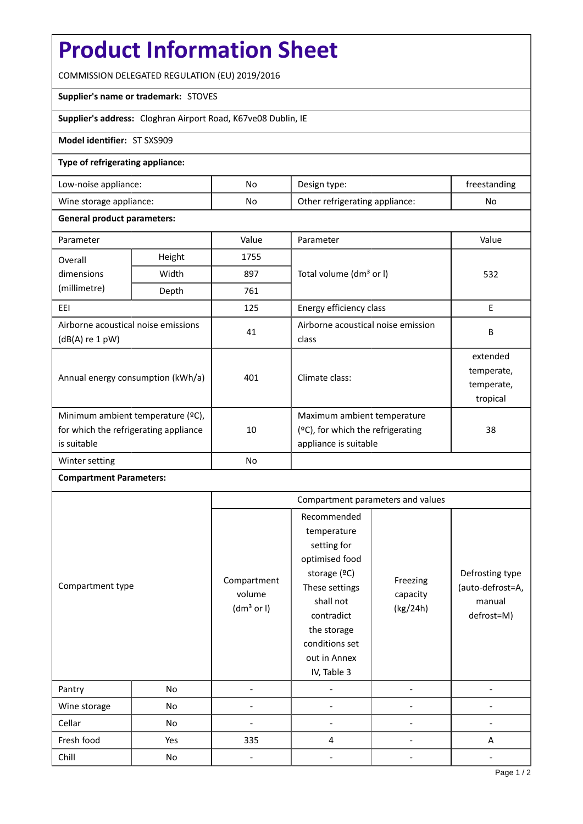# **Product Information Sheet**

COMMISSION DELEGATED REGULATION (EU) 2019/2016

#### **Supplier's name or trademark:** STOVES

**Supplier's address:** Cloghran Airport Road, K67ve08 Dublin, IE

### **Model identifier:** ST SXS909

### **Type of refrigerating appliance:**

| Low-noise appliance:    | No | Design type:                   | treestanding |
|-------------------------|----|--------------------------------|--------------|
| Wine storage appliance: | No | Other refrigerating appliance: | No           |

#### **General product parameters:**

| Parameter                                                                                 |                | Value | Parameter                                                                                    | Value                                            |
|-------------------------------------------------------------------------------------------|----------------|-------|----------------------------------------------------------------------------------------------|--------------------------------------------------|
| Overall                                                                                   | Height<br>1755 |       |                                                                                              |                                                  |
| dimensions                                                                                | Width          | 897   | Total volume (dm <sup>3</sup> or I)                                                          | 532                                              |
| (millimetre)                                                                              | Depth          | 761   |                                                                                              |                                                  |
| EEI                                                                                       |                | 125   | Energy efficiency class                                                                      | E                                                |
| Airborne acoustical noise emissions<br>$(dB(A)$ re 1 pW)                                  |                | 41    | Airborne acoustical noise emission<br>class                                                  | B                                                |
| Annual energy consumption (kWh/a)                                                         |                | 401   | Climate class:                                                                               | extended<br>temperate,<br>temperate,<br>tropical |
| Minimum ambient temperature (°C),<br>for which the refrigerating appliance<br>is suitable |                | 10    | Maximum ambient temperature<br>$(2C)$ , for which the refrigerating<br>appliance is suitable | 38                                               |
| Winter setting                                                                            |                | No    |                                                                                              |                                                  |

## **Compartment Parameters:**

|                  |     | Compartment parameters and values               |                                                                                                                                                                                          |                                  |                                                             |
|------------------|-----|-------------------------------------------------|------------------------------------------------------------------------------------------------------------------------------------------------------------------------------------------|----------------------------------|-------------------------------------------------------------|
| Compartment type |     | Compartment<br>volume<br>(dm <sup>3</sup> or I) | Recommended<br>temperature<br>setting for<br>optimised food<br>storage (°C)<br>These settings<br>shall not<br>contradict<br>the storage<br>conditions set<br>out in Annex<br>IV, Table 3 | Freezing<br>capacity<br>(kg/24h) | Defrosting type<br>(auto-defrost=A,<br>manual<br>defrost=M) |
| Pantry           | No  |                                                 |                                                                                                                                                                                          |                                  |                                                             |
| Wine storage     | No  |                                                 |                                                                                                                                                                                          |                                  |                                                             |
| Cellar           | No  |                                                 |                                                                                                                                                                                          |                                  |                                                             |
| Fresh food       | Yes | 335                                             | 4                                                                                                                                                                                        |                                  | A                                                           |
| Chill            | No  |                                                 |                                                                                                                                                                                          |                                  |                                                             |